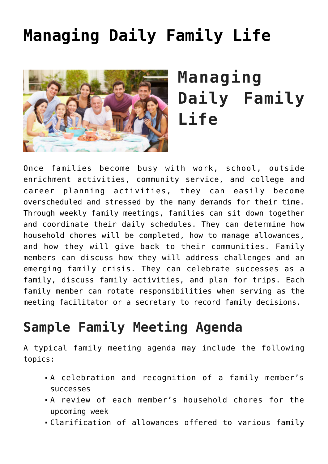# **[Managing Daily Family Life](https://genparenting.com/managing-daily-family-life/)**



# **Managing Daily Family Life**

Once families become busy with work, school, outside enrichment activities, community service, and college and career planning activities, they can easily become overscheduled and stressed by the many demands for their time. Through weekly family meetings, families can sit down together and coordinate their daily schedules. They can determine how household chores will be completed, how to manage allowances, and how they will give back to their communities. Family members can discuss how they will address challenges and an emerging family crisis. They can celebrate successes as a family, discuss family activities, and plan for trips. Each family member can rotate responsibilities when serving as the meeting facilitator or a secretary to record family decisions.

#### **Sample Family Meeting Agenda**

A typical family meeting agenda may include the following topics:

- A celebration and recognition of a family member's successes
- A review of each member's household chores for the upcoming week
- Clarification of allowances offered to various family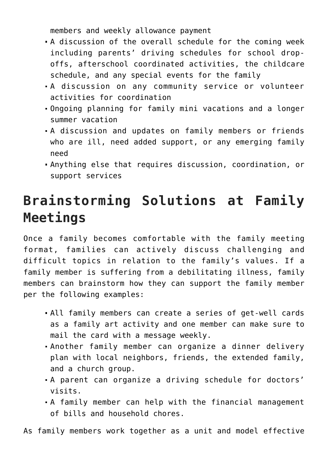members and weekly allowance payment

- A discussion of the overall schedule for the coming week including parents' driving schedules for school dropoffs, afterschool coordinated activities, the childcare schedule, and any special events for the family
- A discussion on any community service or volunteer activities for coordination
- Ongoing planning for family mini vacations and a longer summer vacation
- A discussion and updates on family members or friends who are ill, need added support, or any emerging family need
- Anything else that requires discussion, coordination, or support services

## **Brainstorming Solutions at Family Meetings**

Once a family becomes comfortable with the family meeting format, families can actively discuss challenging and difficult topics in relation to the family's values. If a family member is suffering from a debilitating illness, family members can brainstorm how they can support the family member per the following examples:

- All family members can create a series of get-well cards as a family art activity and one member can make sure to mail the card with a message weekly.
- Another family member can organize a dinner delivery plan with local neighbors, friends, the extended family, and a church group.
- A parent can organize a driving schedule for doctors' visits.
- A family member can help with the financial management of bills and household chores.

As family members work together as a unit and model effective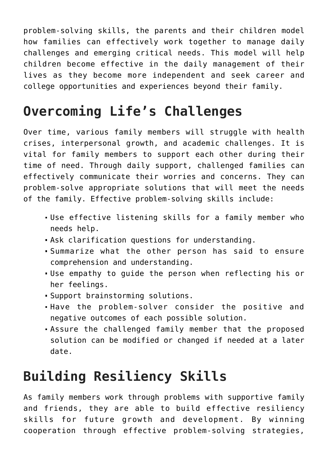problem-solving skills, the parents and their children model how families can effectively work together to manage daily challenges and emerging critical needs. This model will help children become effective in the daily management of their lives as they become more independent and seek career and college opportunities and experiences beyond their family.

#### **Overcoming Life's Challenges**

Over time, various family members will struggle with health crises, interpersonal growth, and academic challenges. It is vital for family members to support each other during their time of need. Through daily support, challenged families can effectively communicate their worries and concerns. They can problem-solve appropriate solutions that will meet the needs of the family. Effective problem-solving skills include:

- Use effective listening skills for a family member who needs help.
- Ask clarification questions for understanding.
- Summarize what the other person has said to ensure comprehension and understanding.
- Use empathy to guide the person when reflecting his or her feelings.
- Support brainstorming solutions.
- Have the problem-solver consider the positive and negative outcomes of each possible solution.
- Assure the challenged family member that the proposed solution can be modified or changed if needed at a later date.

## **Building Resiliency Skills**

As family members work through problems with supportive family and friends, they are able to build effective resiliency skills for future growth and development. By winning cooperation through effective problem-solving strategies,